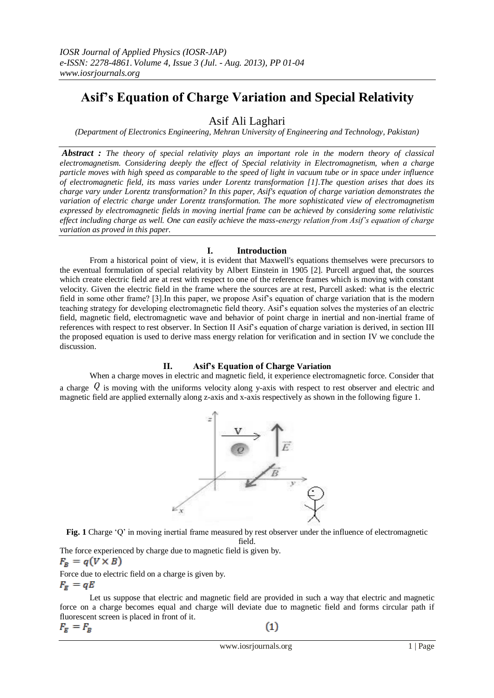# **Asif's Equation of Charge Variation and Special Relativity**

Asif Ali Laghari

*(Department of Electronics Engineering, Mehran University of Engineering and Technology, Pakistan)*

*Abstract : The theory of [special relativity p](http://en.wikipedia.org/wiki/Special_relativity)lays an important role in the modern theory of classical electromagnetis[m.](http://en.wikipedia.org/wiki/Classical_electromagnetism) Considering deeply the effect of Special relativity in Electromagnetism, when a charge particle moves with high speed as comparable to the speed of light in vacuum tube or in space under influence of electromagnetic field, its mass varies under Lorentz transformation [1].The question arises that does its charge vary under Lorentz transformation? In this paper, Asif's equation of charge variation demonstrates the variation of electric charge under Lorentz transformation. The more sophisticated view of [electromagnetism](http://en.wikipedia.org/wiki/Electromagnetism)  expressed by electromagnetic fields in moving inertial frame can be achieved by considering some relativistic effect including charge as well. One can easily achieve the mass-energy relation from Asif's equation of charge variation as proved in this paper.* 

## **I. Introduction**

From a historical point of view, it is evident that Maxwell's equations themselves were precursors to the eventual formulation of special relativity by Albert Einstein in 1905 [2]. Purcell argued that, the sources which create electric field are at rest with respect to one of the reference frames which is moving with constant velocity. Given the [electric field i](http://en.wikipedia.org/wiki/Electric_field)n the frame where the sources are at rest, Purcell asked: what is the electric field in some other frame? [3].In this paper, we propose Asif"s equation of charge variation that is the modern teaching strategy for developing electromagnetic field theory. Asif"s equation solves the mysteries of an electric field, magnetic field, electromagnetic wave and behavior of point charge in inertial and non-inertial frame of references with respect to rest observer. In Section II Asif"s equation of charge variation is derived, in section III the proposed equation is used to derive mass energy relation for verification and in section IV we conclude the discussion.

### **II. Asif's Equation of Charge Variation**

When a charge moves in electric and magnetic field, it experience electromagnetic force. Consider that a charge  $\hat{Q}$  is moving with the uniforms velocity along y-axis with respect to rest observer and electric and magnetic field are applied externally along z-axis and x-axis respectively as shown in the following figure 1.



**Fig. 1** Charge 'O' in moving inertial frame measured by rest observer under the influence of electromagnetic field.

The force experienced by charge due to magnetic field is given by.

 $F_B = q(V \times B)$ 

Force due to electric field on a charge is given by.

$$
F_E = qE
$$

Let us suppose that electric and magnetic field are provided in such a way that electric and magnetic force on a charge becomes equal and charge will deviate due to magnetic field and forms circular path if fluorescent screen is placed in front of it.

$$
F_E = F_B
$$

 $(1)$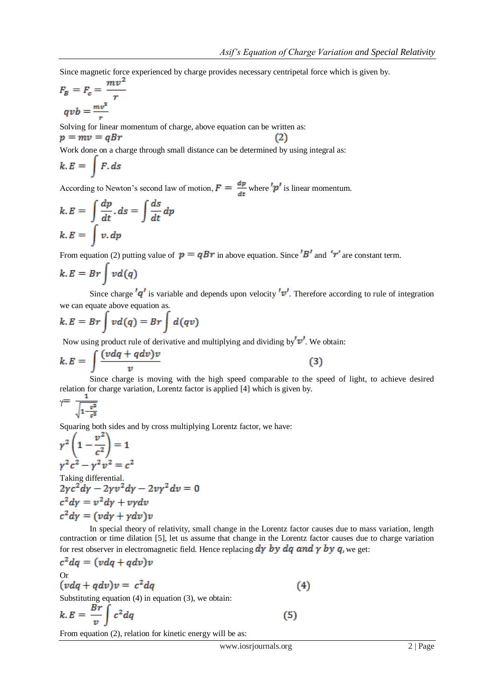Since magnetic force experienced by charge provides necessary centripetal force which is given by.

$$
F_B = F_c = \frac{mv^2}{r}
$$

$$
qvb = \frac{mv^2}{r}
$$

Solving for linear momentum of charge, above equation can be written as:

$$
\mathcal{L}_{\mathcal{A}}(x)
$$

 $(2)$ 

Work done on a charge through small distance can be determined by using integral as:

$$
k.E = \int F. ds
$$

 $p = mv = qBr$ 

According to Newton's second law of motion,  $F = \frac{dp}{dt}$  where  $'p'$  is linear momentum.

$$
k.E = \int \frac{dp}{dt} \cdot ds = \int \frac{ds}{dt} dp
$$
  

$$
k.E = \int v \cdot dp
$$

From equation (2) putting value of  $p = qBr$  in above equation. Since  $B'$  and  $'r'$  are constant term.

$$
k.E = Br \int v d(q)
$$

Since charge  $q'$  is variable and depends upon velocity  $'v'$ . Therefore according to rule of integration we can equate above equation as.

$$
k.E = Br \int v d(q) = Br \int d(qv)
$$

Now using product rule of derivative and multiplying and dividing by  $\upsilon'$ . We obtain:

$$
k.E = \int \frac{(vdq + qdv)v}{v} \tag{3}
$$

 $\bf{0}$ 

Since charge is moving with the high speed comparable to the speed of light, to achieve desired relation for charge variation, Lorentz factor is applied [4] which is given by.

$$
\gamma = \frac{1}{\sqrt{1-\frac{v^2}{c^2}}}
$$

Squaring both sides and by cross multiplying Lorentz factor, we have:

$$
\gamma^2 \left( 1 - \frac{v^2}{c^2} \right) = 1
$$
  
\n
$$
\gamma^2 c^2 - \gamma^2 v^2 = c^2
$$
  
\nTaking differential.  
\n
$$
2\gamma c^2 dy - 2\gamma v^2 dy - 2v\gamma^2 dv =
$$
  
\n
$$
c^2 dy = v^2 dy + v\gamma dv
$$
  
\n
$$
c^2 dy = (v\,dy + \gamma dv)v
$$

In special theory of relativity, small change in the Lorentz factor causes due to mass variation, length contraction or time dilation [5], let us assume that change in the Lorentz factor causes due to charge variation for rest observer in electromagnetic field. Hence replacing  $dy$  by  $dq$  and  $\gamma$  by  $q$ , we get:

$$
c2 dq = (vdq + qdv)v
$$
  
Or  

$$
(vdq + qdv)v = c2 dq
$$
  
Substituting equation (4) in equation (3), we obtain:  

$$
k.E = \frac{Br}{v} \int c2 dq
$$
 (5)

From equation (2), relation for kinetic energy will be as: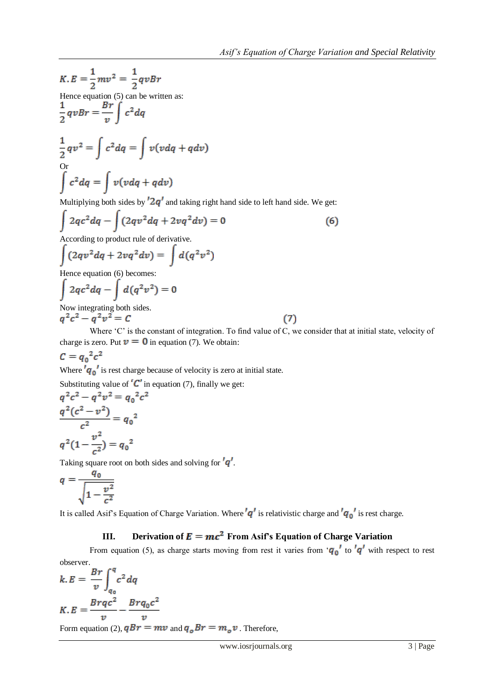$$
K.E = \frac{1}{2}mv^2 = \frac{1}{2}qvBr
$$
  
Hence equation (5) can be written as:  

$$
\frac{1}{2}qvBr = \frac{Br}{v}\int c^2dq
$$
  

$$
\frac{1}{2}qv^2 = \int c^2dq = \int v(vdq + qdv)
$$
  
Or  

$$
\int c^2dq = \int v(vdq + qdv)
$$
  
Multiplying both sides by '2q' and taking right hand side to left hand side. We get:  

$$
\int 2qc^2dq - \int (2qv^2dq + 2vq^2dv) = 0
$$
 (6)  
According to product rule of derivative.

According to product rule of derivative.

$$
\int (2qv^2dq + 2vq^2dv) = \int d(q^2v^2)
$$
  
Hence equation (6) becomes:  

$$
\int 2qc^2dq - \int d(q^2v^2) = 0
$$
  
Now integrating both sides.  

$$
q^2c^2 - q^2v^2 = C
$$

Where 'C' is the constant of integration. To find value of C, we consider that at initial state, velocity of charge is zero. Put  $v = 0$  in equation (7). We obtain:

 $(7)$ 

$$
C = q_0^2 c^2
$$

Where  $(q_0)$  is rest charge because of velocity is zero at initial state.

Substituting value of 'C' in equation (7), finally we get:  
\n
$$
q^2c^2 - q^2v^2 = q_0^2c^2
$$
\n
$$
\frac{q^2(c^2 - v^2)}{c^2} = q_0^2
$$
\n
$$
q^2(1 - \frac{v^2}{c^2}) = q_0^2
$$
\nTaking square root on both sides and solving for  $|q|$ 

Taking square root on both sides and solving for  $q'$ .

$$
q = \frac{q_0}{\sqrt{1 - \frac{v^2}{c^2}}}
$$

It is called Asif's Equation of Charge Variation. Where  $q'$  is relativistic charge and  $q_0'$  is rest charge.

## **III. Derivation of**  $E = mc^2$  **From Asif's Equation of Charge Variation**

From equation (5), as charge starts moving from rest it varies from  $q_0'$  to  $q'$  with respect to rest observer.

$$
k.E = \frac{Br}{v} \int_{q_0}^{q} c^2 dq
$$

$$
K.E = \frac{Brqc^2}{v} - \frac{Brq_0c^2}{v}
$$

Form equation (2),  $qBr = mv$  and  $q_oBr = m_o v$ . Therefore,